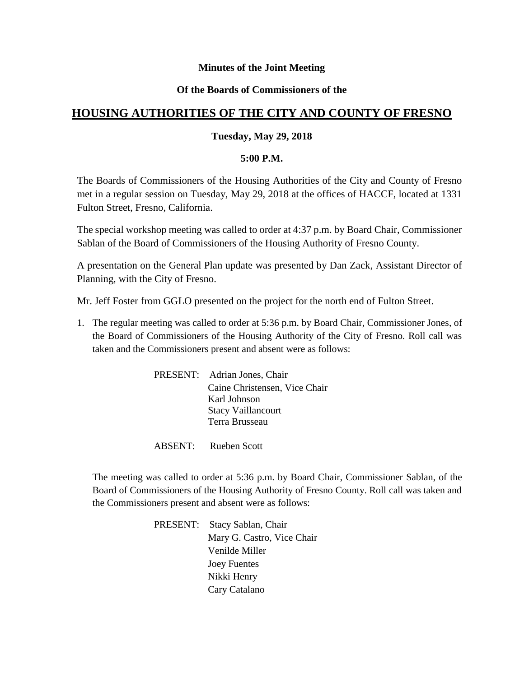# **Minutes of the Joint Meeting**

# **Of the Boards of Commissioners of the**

# **HOUSING AUTHORITIES OF THE CITY AND COUNTY OF FRESNO**

# **Tuesday, May 29, 2018**

#### **5:00 P.M.**

The Boards of Commissioners of the Housing Authorities of the City and County of Fresno met in a regular session on Tuesday, May 29, 2018 at the offices of HACCF, located at 1331 Fulton Street, Fresno, California.

The special workshop meeting was called to order at 4:37 p.m. by Board Chair, Commissioner Sablan of the Board of Commissioners of the Housing Authority of Fresno County.

A presentation on the General Plan update was presented by Dan Zack, Assistant Director of Planning, with the City of Fresno.

Mr. Jeff Foster from GGLO presented on the project for the north end of Fulton Street.

1. The regular meeting was called to order at 5:36 p.m. by Board Chair, Commissioner Jones, of the Board of Commissioners of the Housing Authority of the City of Fresno. Roll call was taken and the Commissioners present and absent were as follows:

| PRESENT: Adrian Jones, Chair  |
|-------------------------------|
| Caine Christensen, Vice Chair |
| Karl Johnson                  |
| <b>Stacy Vaillancourt</b>     |
| Terra Brusseau                |

ABSENT: Rueben Scott

The meeting was called to order at 5:36 p.m. by Board Chair, Commissioner Sablan, of the Board of Commissioners of the Housing Authority of Fresno County. Roll call was taken and the Commissioners present and absent were as follows:

> PRESENT: Stacy Sablan, Chair Mary G. Castro, Vice Chair Venilde Miller Joey Fuentes Nikki Henry Cary Catalano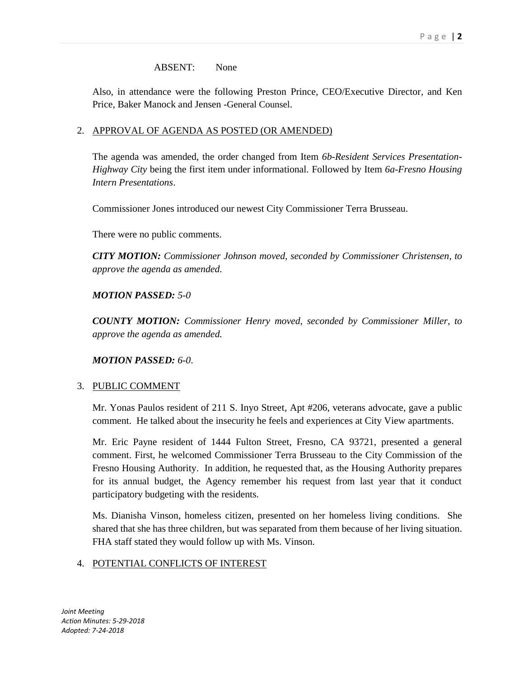#### ABSENT: None

Also, in attendance were the following Preston Prince, CEO/Executive Director, and Ken Price, Baker Manock and Jensen -General Counsel.

# 2. APPROVAL OF AGENDA AS POSTED (OR AMENDED)

The agenda was amended, the order changed from Item *6b-Resident Services Presentation-Highway City* being the first item under informational. Followed by Item *6a-Fresno Housing Intern Presentations*.

Commissioner Jones introduced our newest City Commissioner Terra Brusseau.

There were no public comments.

*CITY MOTION: Commissioner Johnson moved, seconded by Commissioner Christensen, to approve the agenda as amended.*

# *MOTION PASSED: 5-0*

*COUNTY MOTION: Commissioner Henry moved, seconded by Commissioner Miller, to approve the agenda as amended.*

*MOTION PASSED: 6-0*.

# 3. PUBLIC COMMENT

Mr. Yonas Paulos resident of 211 S. Inyo Street, Apt #206, veterans advocate, gave a public comment. He talked about the insecurity he feels and experiences at City View apartments.

Mr. Eric Payne resident of 1444 Fulton Street, Fresno, CA 93721, presented a general comment. First, he welcomed Commissioner Terra Brusseau to the City Commission of the Fresno Housing Authority. In addition, he requested that, as the Housing Authority prepares for its annual budget, the Agency remember his request from last year that it conduct participatory budgeting with the residents.

Ms. Dianisha Vinson, homeless citizen, presented on her homeless living conditions. She shared that she has three children, but was separated from them because of her living situation. FHA staff stated they would follow up with Ms. Vinson.

# 4. POTENTIAL CONFLICTS OF INTEREST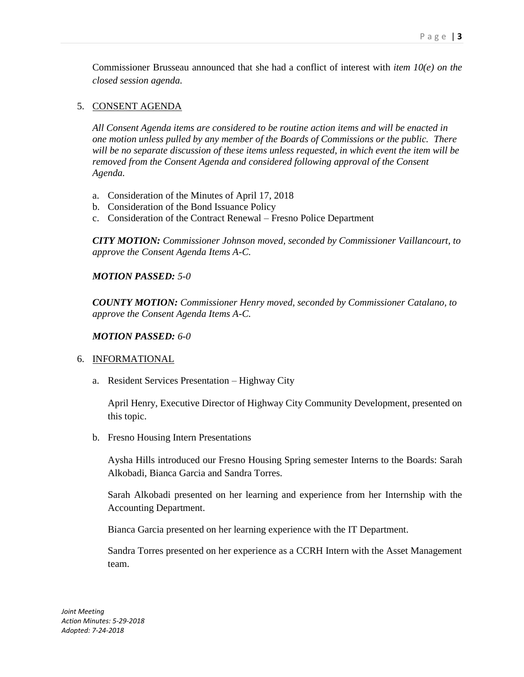Commissioner Brusseau announced that she had a conflict of interest with *item 10(e) on the closed session agenda.*

# 5. CONSENT AGENDA

*All Consent Agenda items are considered to be routine action items and will be enacted in one motion unless pulled by any member of the Boards of Commissions or the public. There will be no separate discussion of these items unless requested, in which event the item will be removed from the Consent Agenda and considered following approval of the Consent Agenda.*

- a. Consideration of the Minutes of April 17, 2018
- b. Consideration of the Bond Issuance Policy
- c. Consideration of the Contract Renewal Fresno Police Department

*CITY MOTION: Commissioner Johnson moved, seconded by Commissioner Vaillancourt, to approve the Consent Agenda Items A-C.*

#### *MOTION PASSED: 5-0*

*COUNTY MOTION: Commissioner Henry moved, seconded by Commissioner Catalano, to approve the Consent Agenda Items A-C.*

#### *MOTION PASSED: 6-0*

# 6. INFORMATIONAL

a. Resident Services Presentation – Highway City

April Henry, Executive Director of Highway City Community Development, presented on this topic.

b. Fresno Housing Intern Presentations

Aysha Hills introduced our Fresno Housing Spring semester Interns to the Boards: Sarah Alkobadi, Bianca Garcia and Sandra Torres.

Sarah Alkobadi presented on her learning and experience from her Internship with the Accounting Department.

Bianca Garcia presented on her learning experience with the IT Department.

Sandra Torres presented on her experience as a CCRH Intern with the Asset Management team.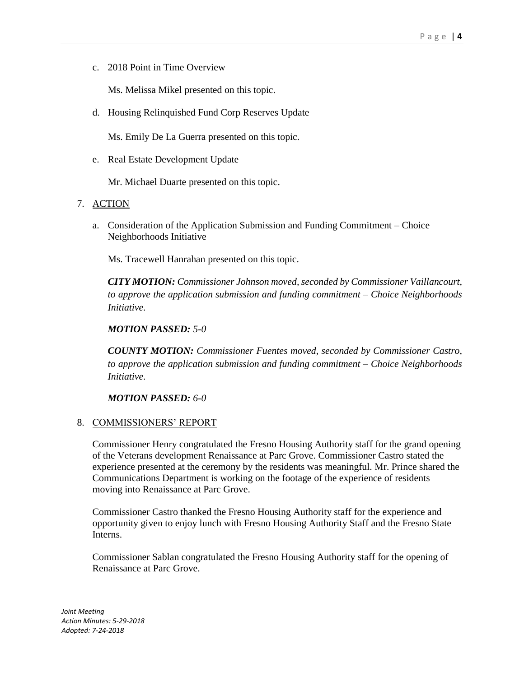c. 2018 Point in Time Overview

Ms. Melissa Mikel presented on this topic.

d. Housing Relinquished Fund Corp Reserves Update

Ms. Emily De La Guerra presented on this topic.

e. Real Estate Development Update

Mr. Michael Duarte presented on this topic.

- 7. ACTION
	- a. Consideration of the Application Submission and Funding Commitment Choice Neighborhoods Initiative

Ms. Tracewell Hanrahan presented on this topic.

*CITY MOTION: Commissioner Johnson moved, seconded by Commissioner Vaillancourt, to approve the application submission and funding commitment – Choice Neighborhoods Initiative.*

#### *MOTION PASSED: 5-0*

*COUNTY MOTION: Commissioner Fuentes moved, seconded by Commissioner Castro, to approve the application submission and funding commitment – Choice Neighborhoods Initiative.*

*MOTION PASSED: 6-0*

#### 8. COMMISSIONERS' REPORT

Commissioner Henry congratulated the Fresno Housing Authority staff for the grand opening of the Veterans development Renaissance at Parc Grove. Commissioner Castro stated the experience presented at the ceremony by the residents was meaningful. Mr. Prince shared the Communications Department is working on the footage of the experience of residents moving into Renaissance at Parc Grove.

Commissioner Castro thanked the Fresno Housing Authority staff for the experience and opportunity given to enjoy lunch with Fresno Housing Authority Staff and the Fresno State Interns.

Commissioner Sablan congratulated the Fresno Housing Authority staff for the opening of Renaissance at Parc Grove.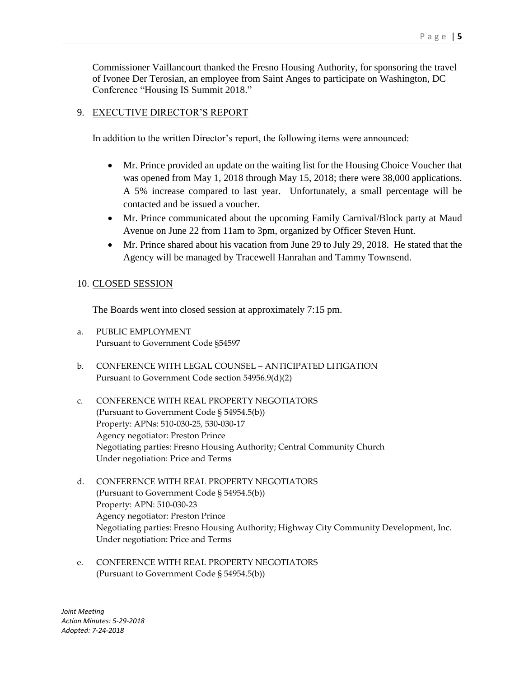Commissioner Vaillancourt thanked the Fresno Housing Authority, for sponsoring the travel of Ivonee Der Terosian, an employee from Saint Anges to participate on Washington, DC Conference "Housing IS Summit 2018."

#### 9. EXECUTIVE DIRECTOR'S REPORT

In addition to the written Director's report, the following items were announced:

- Mr. Prince provided an update on the waiting list for the Housing Choice Voucher that was opened from May 1, 2018 through May 15, 2018; there were 38,000 applications. A 5% increase compared to last year. Unfortunately, a small percentage will be contacted and be issued a voucher.
- Mr. Prince communicated about the upcoming Family Carnival/Block party at Maud Avenue on June 22 from 11am to 3pm, organized by Officer Steven Hunt.
- Mr. Prince shared about his vacation from June 29 to July 29, 2018. He stated that the Agency will be managed by Tracewell Hanrahan and Tammy Townsend.

#### 10. CLOSED SESSION

The Boards went into closed session at approximately 7:15 pm.

- a. PUBLIC EMPLOYMENT Pursuant to Government Code §54597
- b. CONFERENCE WITH LEGAL COUNSEL ANTICIPATED LITIGATION Pursuant to Government Code section 54956.9(d)(2)
- c. CONFERENCE WITH REAL PROPERTY NEGOTIATORS (Pursuant to Government Code § 54954.5(b)) Property: APNs: 510-030-25, 530-030-17 Agency negotiator: Preston Prince Negotiating parties: Fresno Housing Authority; Central Community Church Under negotiation: Price and Terms
- d. CONFERENCE WITH REAL PROPERTY NEGOTIATORS (Pursuant to Government Code § 54954.5(b)) Property: APN: 510-030-23 Agency negotiator: Preston Prince Negotiating parties: Fresno Housing Authority; Highway City Community Development, Inc. Under negotiation: Price and Terms
- e. CONFERENCE WITH REAL PROPERTY NEGOTIATORS (Pursuant to Government Code § 54954.5(b))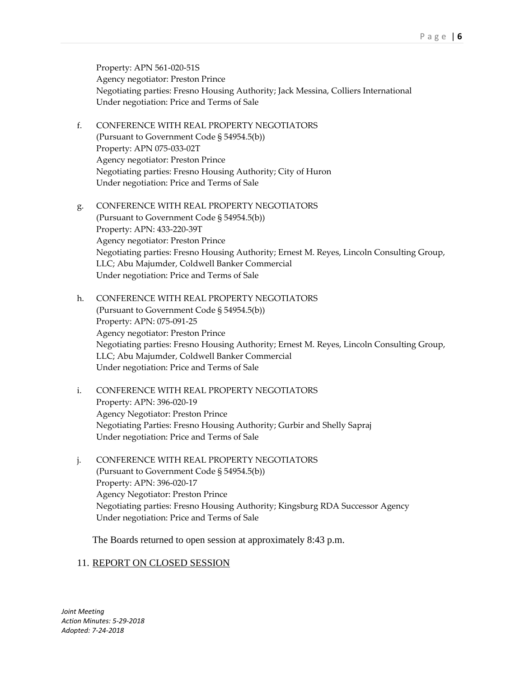Property: APN 561-020-51S Agency negotiator: Preston Prince Negotiating parties: Fresno Housing Authority; Jack Messina, Colliers International Under negotiation: Price and Terms of Sale

- f. CONFERENCE WITH REAL PROPERTY NEGOTIATORS (Pursuant to Government Code § 54954.5(b)) Property: APN 075-033-02T Agency negotiator: Preston Prince Negotiating parties: Fresno Housing Authority; City of Huron Under negotiation: Price and Terms of Sale
- g. CONFERENCE WITH REAL PROPERTY NEGOTIATORS (Pursuant to Government Code § 54954.5(b)) Property: APN: 433-220-39T Agency negotiator: Preston Prince Negotiating parties: Fresno Housing Authority; Ernest M. Reyes, Lincoln Consulting Group, LLC; Abu Majumder, Coldwell Banker Commercial Under negotiation: Price and Terms of Sale
- h. CONFERENCE WITH REAL PROPERTY NEGOTIATORS (Pursuant to Government Code § 54954.5(b)) Property: APN: 075-091-25 Agency negotiator: Preston Prince Negotiating parties: Fresno Housing Authority; Ernest M. Reyes, Lincoln Consulting Group, LLC; Abu Majumder, Coldwell Banker Commercial Under negotiation: Price and Terms of Sale
- i. CONFERENCE WITH REAL PROPERTY NEGOTIATORS Property: APN: 396-020-19 Agency Negotiator: Preston Prince Negotiating Parties: Fresno Housing Authority; Gurbir and Shelly Sapraj Under negotiation: Price and Terms of Sale
- j. CONFERENCE WITH REAL PROPERTY NEGOTIATORS (Pursuant to Government Code § 54954.5(b)) Property: APN: 396-020-17 Agency Negotiator: Preston Prince Negotiating parties: Fresno Housing Authority; Kingsburg RDA Successor Agency Under negotiation: Price and Terms of Sale

The Boards returned to open session at approximately 8:43 p.m.

#### 11. REPORT ON CLOSED SESSION